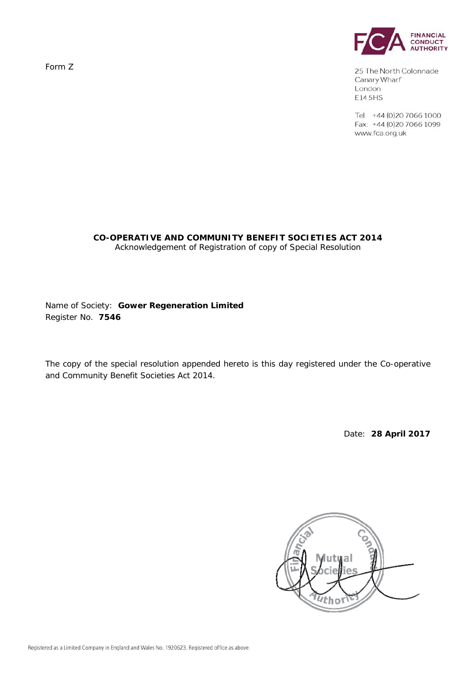Form Z



25 The North Colonnade Canary Wharf London E14 5HS

Tel: +44 (0)20 7066 1000 Fax: +44 (0)20 7066 1099 www.fca.org.uk

#### **CO-OPERATIVE AND COMMUNITY BENEFIT SOCIETIES ACT 2014**  *Acknowledgement of Registration of copy of Special Resolution*

Name of Society: **Gower Regeneration Limited** Register No. **7546**

The copy of the special resolution appended hereto is this day registered under the Co-operative and Community Benefit Societies Act 2014.

Date: **28 April 2017** 

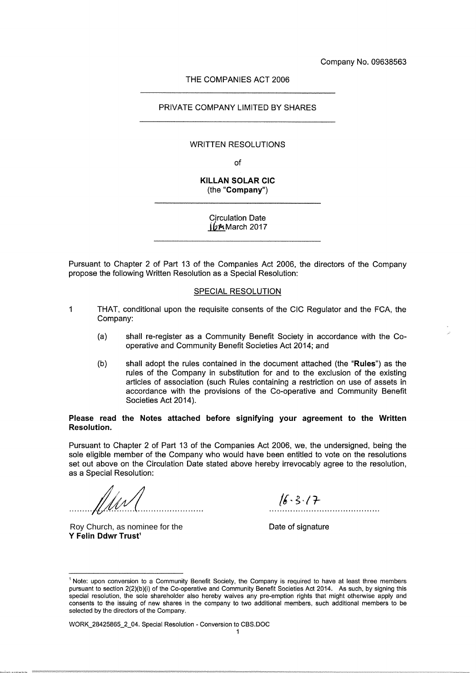Company No. 09638563

#### THE COMPANIES ACT 2006

#### PRIVATE COMPANY LIMITED BY SHARES

#### **WRITTEN RESOLUTIONS**

of

#### KILLAN SOLAR CIC (the "Company")

Circulation Date  $16$ MMarch 2017

Pursuant to Chapter 2 of Part 13 of the Companies Act 2006, the directors of the Company propose the following Written Resolution as a Special Resolution:

#### SPECIAL RESOLUTION

- $\mathbf{1}$ THAT, conditional upon the requisite consents of the CIC Regulator and the FCA, the Company:
	- (a} shall re-register as a Community Benefit Society in accordance with the Caaperative and Community Benefit Societies Act 2014; and
	- (b) shall adopt the rules contained in the document attached (the "Rules") as the rules of the Company in substitution for and to the exclusion of the existing articles of association (such Rules containing a restriction on use of assets in accordance with the provisions of the Co-operative and Community Benefit Societies Act 2014).

#### Please read the Notes attached before signifying your agreement to the Written Resolution.

Pursuant to Chapter 2 of Part 13 of the Companies Act 2006, we, the undersigned, being the sole eligible member of the Company who would have been entitled to vote on the resolutions set out above on the Circulation Date stated above hereby irrevocably agree to the resolution, as a Special Resolution:

r

Y Felin Ddwr Trust' Roy Church, as nominee for the

 $16.3.17$ 

Date of signature

WORK\_28425865\_2\_04. Special Resolution - Conversion to CBS.DOC

<sup>&</sup>lt;sup>1</sup> Note: upon conversion to a Community Benefit Society, the Company is required to have at least three members pursuant to section 2(2)(b)(i) of the Co-operative and Community Benefit Societies Act 2014. As such, by signing this special resolution, the sole shareholder also hereby waives any pre-emption rights that might otherwise apply and consents to the issuing of new shares in the company to iwo additional members, such additional members to be selected by the directors of the Company.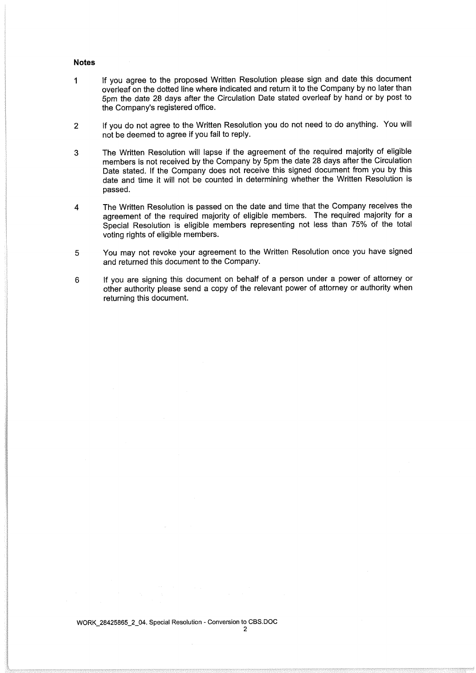#### Notes

- If you agree to the proposed Written Resolution please sign and date this document  $\mathbf{1}$ overleaf on the dotted line where indicated and return it to the Company by no later than 5pm the date 28 days after the Circulation Date stated overleaf by hand or by post to the Company's registered office.
- 2 If you do not agree to the Written Resolution you do not need to do anything. You will not be deemed to agree if you fail to reply.
- 3 The Written Resolution will lapse if the agreement of the required majority of eligible members is not received by the Company by 5pm the date 28 days after the Circulation Date stated. If the Company does not receive this signed document from you by this date and time it will not be counted in determining whether the Written Resolution is passed.
- 4 The Written Resolution is passed on the date and time that the Company receives the agreement of the required majority of eligible members. The required majority for a Special Resolution is eligible members representing not less than 75% of the total voting rights of eligible members.
- 5 You may not revoke your agreement to the Written Resolution once you have signed and returned this document to the Company.
- 6 If you are signing this document on behalf of a person under a power of attorney or other authority please send a copy of the relevant power of attorney or authority when returning this document.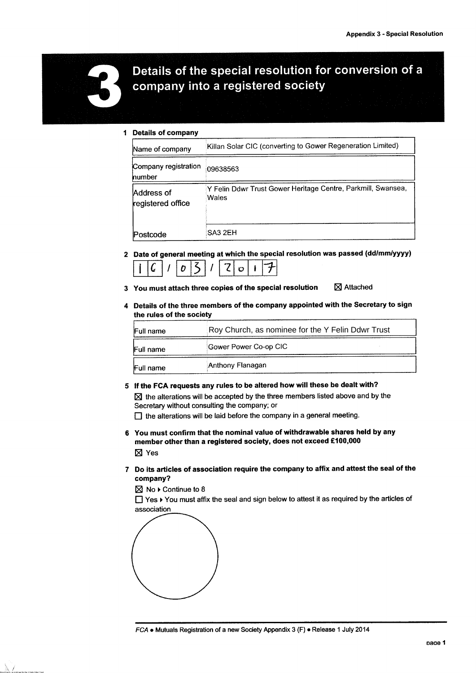

# Details of the special resolution for conversion of a company into a registered society

#### 1 Details of company

| Name of company                 | Killan Solar CIC (converting to Gower Regeneration Limited)           |
|---------------------------------|-----------------------------------------------------------------------|
| Company registration<br>number  | 09638563                                                              |
| Address of<br>registered office | Y Felin Ddwr Trust Gower Heritage Centre, Parkmill, Swansea,<br>Wales |
| Postcode                        | SA3 2EH                                                               |

- 2 Date of general meeting at which the special resolution was passed (dd/mm/yyyy)  $\sqrt{c}/\sqrt{03}/2017$
- 3 You must attach three copies of the special resolution  $\boxtimes$  Attached
- 4 Details of the three members of the company appointed with the Secretary to sign the rules of the society

| Roy Church, as nominee for the Y Felin Ddwr Trust<br>Full name |                       |  |
|----------------------------------------------------------------|-----------------------|--|
| Full name                                                      | Gower Power Co-op CIC |  |
| Full name                                                      | Anthony Flanagan      |  |

5 If the FCA requests any rules to be altered how will these be dealt with?

 $\times$  the alterations will be accepted by the three members listed above and by the Secretary without consulting the company; or

□ the alterations will be laid before the company in a general meeting.

- 6 You must confirm that the nominal value of withdrawable shares held by any member other than a registered society, does not exceed £100,000 ■ Yes
- 7 Do its articles of association require the company to affix and attest the seal of the company?

 $\boxtimes$  No  $\blacktriangleright$  Continue to 8

❑ Yes ►You must affix the seal and sign below to attest it as required by the articles of association

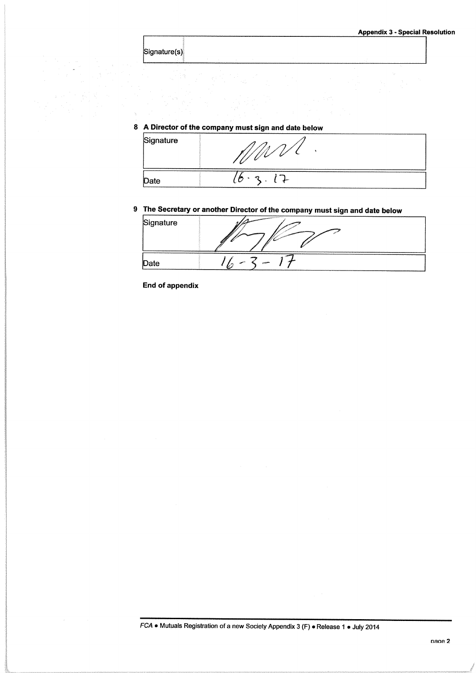| ignature(s)j |  |
|--------------|--|

# 8 A Director of the company must sign and date below

| Signature |                 |  |
|-----------|-----------------|--|
| Date      | P)<br>$\bullet$ |  |

# 9 The Secretary or another Director of the company must sign and date below

| Signature | <b>COMPARATIONS INTO A REPORT OF A STATE OF A REPORT OF A REPORT OF A REPORT OF A REPORT OF A REPORT OF A REPORT OF A REPORT OF A REPORT OF A REPORT OF A REPORT OF A REPORT OF A REPORT OF A REPORT OF A REPORT OF A REPORT OF </b> |  |
|-----------|--------------------------------------------------------------------------------------------------------------------------------------------------------------------------------------------------------------------------------------|--|
| Date      |                                                                                                                                                                                                                                      |  |

End of appendix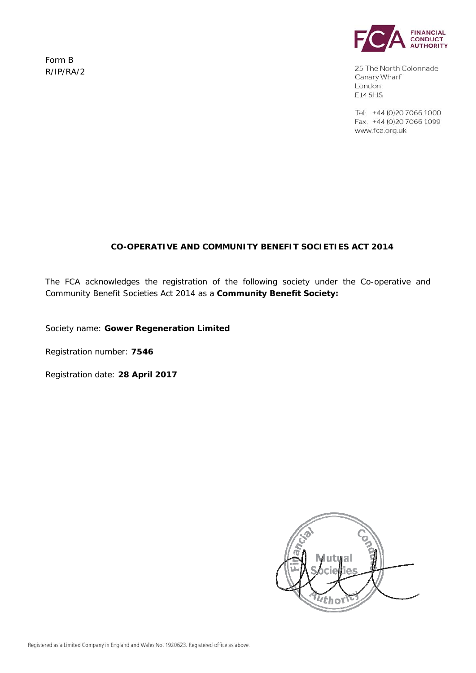Form B R/IP/RA/2



25 The North Colonnade Canary Wharf London E14 5HS

Tel: +44 (0)20 7066 1000 Fax: +44 (0)20 7066 1099 www.fca.org.uk

# **CO-OPERATIVE AND COMMUNITY BENEFIT SOCIETIES ACT 2014**

The FCA acknowledges the registration of the following society under the Co-operative and Community Benefit Societies Act 2014 as a **Community Benefit Society:** 

Society name: **Gower Regeneration Limited**

Registration number: **7546**

Registration date: **28 April 2017**

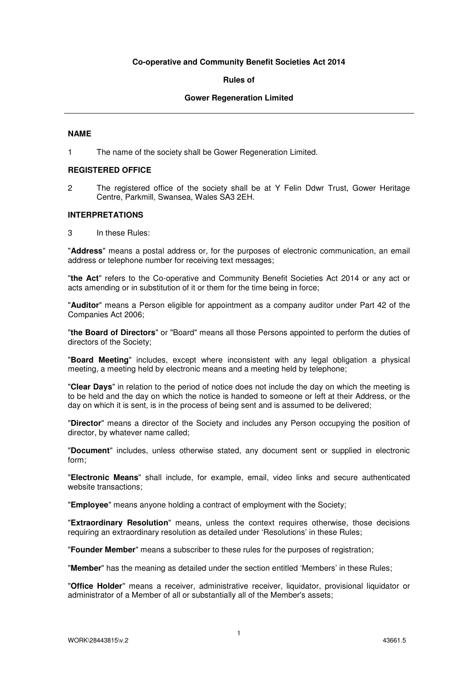#### **Co-operative and Community Benefit Societies Act 2014**

#### **Rules of**

#### **Gower Regeneration Limited**

#### **NAME**

1 The name of the society shall be Gower Regeneration Limited.

#### **REGISTERED OFFICE**

2 The registered office of the society shall be at Y Felin Ddwr Trust, Gower Heritage Centre, Parkmill, Swansea, Wales SA3 2EH.

#### **INTERPRETATIONS**

3 In these Rules:

"**Address**" means a postal address or, for the purposes of electronic communication, an email address or telephone number for receiving text messages;

"**the Act**" refers to the Co-operative and Community Benefit Societies Act 2014 or any act or acts amending or in substitution of it or them for the time being in force;

"**Auditor**" means a Person eligible for appointment as a company auditor under Part 42 of the Companies Act 2006;

"**the Board of Directors**" or "Board" means all those Persons appointed to perform the duties of directors of the Society;

"**Board Meeting**" includes, except where inconsistent with any legal obligation a physical meeting, a meeting held by electronic means and a meeting held by telephone;

"**Clear Days**" in relation to the period of notice does not include the day on which the meeting is to be held and the day on which the notice is handed to someone or left at their Address, or the day on which it is sent, is in the process of being sent and is assumed to be delivered;

"**Director**" means a director of the Society and includes any Person occupying the position of director, by whatever name called;

"**Document**" includes, unless otherwise stated, any document sent or supplied in electronic form;

"**Electronic Means**" shall include, for example, email, video links and secure authenticated website transactions;

"**Employee**" means anyone holding a contract of employment with the Society;

"**Extraordinary Resolution**" means, unless the context requires otherwise, those decisions requiring an extraordinary resolution as detailed under 'Resolutions' in these Rules;

"**Founder Member**" means a subscriber to these rules for the purposes of registration;

"**Member**" has the meaning as detailed under the section entitled 'Members' in these Rules;

"**Office Holder**" means a receiver, administrative receiver, liquidator, provisional liquidator or administrator of a Member of all or substantially all of the Member's assets;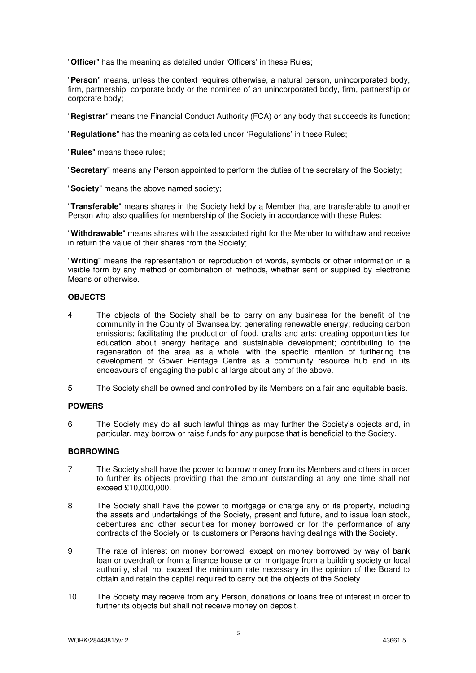"**Officer**" has the meaning as detailed under 'Officers' in these Rules;

"**Person**" means, unless the context requires otherwise, a natural person, unincorporated body, firm, partnership, corporate body or the nominee of an unincorporated body, firm, partnership or corporate body;

"**Registrar**" means the Financial Conduct Authority (FCA) or any body that succeeds its function;

"**Regulations**" has the meaning as detailed under 'Regulations' in these Rules;

"**Rules**" means these rules;

"**Secretary**" means any Person appointed to perform the duties of the secretary of the Society;

"**Society**" means the above named society;

"**Transferable**" means shares in the Society held by a Member that are transferable to another Person who also qualifies for membership of the Society in accordance with these Rules;

"**Withdrawable**" means shares with the associated right for the Member to withdraw and receive in return the value of their shares from the Society;

"**Writing**" means the representation or reproduction of words, symbols or other information in a visible form by any method or combination of methods, whether sent or supplied by Electronic Means or otherwise.

#### **OBJECTS**

4 The objects of the Society shall be to carry on any business for the benefit of the community in the County of Swansea by: generating renewable energy; reducing carbon emissions; facilitating the production of food, crafts and arts; creating opportunities for education about energy heritage and sustainable development; contributing to the regeneration of the area as a whole, with the specific intention of furthering the development of Gower Heritage Centre as a community resource hub and in its endeavours of engaging the public at large about any of the above.

5 The Society shall be owned and controlled by its Members on a fair and equitable basis.

#### **POWERS**

6 The Society may do all such lawful things as may further the Society's objects and, in particular, may borrow or raise funds for any purpose that is beneficial to the Society.

#### **BORROWING**

- 7 The Society shall have the power to borrow money from its Members and others in order to further its objects providing that the amount outstanding at any one time shall not exceed £10,000,000.
- 8 The Society shall have the power to mortgage or charge any of its property, including the assets and undertakings of the Society, present and future, and to issue loan stock, debentures and other securities for money borrowed or for the performance of any contracts of the Society or its customers or Persons having dealings with the Society.
- 9 The rate of interest on money borrowed, except on money borrowed by way of bank loan or overdraft or from a finance house or on mortgage from a building society or local authority, shall not exceed the minimum rate necessary in the opinion of the Board to obtain and retain the capital required to carry out the objects of the Society.
- 10 The Society may receive from any Person, donations or loans free of interest in order to further its objects but shall not receive money on deposit.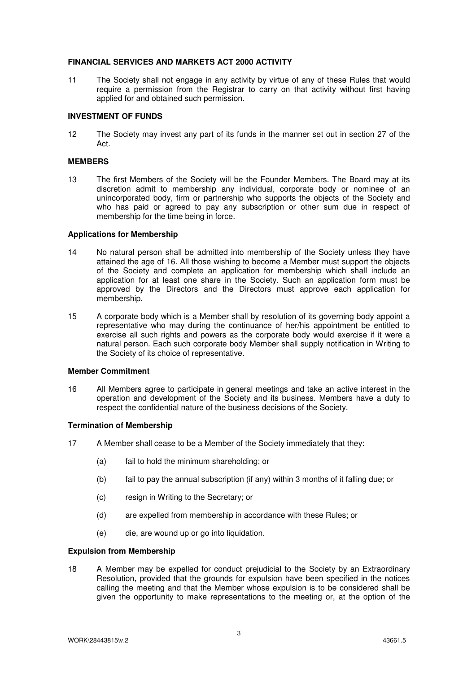#### **FINANCIAL SERVICES AND MARKETS ACT 2000 ACTIVITY**

11 The Society shall not engage in any activity by virtue of any of these Rules that would require a permission from the Registrar to carry on that activity without first having applied for and obtained such permission.

#### **INVESTMENT OF FUNDS**

12 The Society may invest any part of its funds in the manner set out in section 27 of the Act.

#### **MEMBERS**

13 The first Members of the Society will be the Founder Members. The Board may at its discretion admit to membership any individual, corporate body or nominee of an unincorporated body, firm or partnership who supports the objects of the Society and who has paid or agreed to pay any subscription or other sum due in respect of membership for the time being in force.

#### **Applications for Membership**

- 14 No natural person shall be admitted into membership of the Society unless they have attained the age of 16. All those wishing to become a Member must support the objects of the Society and complete an application for membership which shall include an application for at least one share in the Society. Such an application form must be approved by the Directors and the Directors must approve each application for membership.
- 15 A corporate body which is a Member shall by resolution of its governing body appoint a representative who may during the continuance of her/his appointment be entitled to exercise all such rights and powers as the corporate body would exercise if it were a natural person. Each such corporate body Member shall supply notification in Writing to the Society of its choice of representative.

#### **Member Commitment**

16 All Members agree to participate in general meetings and take an active interest in the operation and development of the Society and its business. Members have a duty to respect the confidential nature of the business decisions of the Society.

#### **Termination of Membership**

- 17 A Member shall cease to be a Member of the Society immediately that they:
	- (a) fail to hold the minimum shareholding; or
	- (b) fail to pay the annual subscription (if any) within 3 months of it falling due; or
	- (c) resign in Writing to the Secretary; or
	- (d) are expelled from membership in accordance with these Rules; or
	- (e) die, are wound up or go into liquidation.

#### **Expulsion from Membership**

18 A Member may be expelled for conduct prejudicial to the Society by an Extraordinary Resolution, provided that the grounds for expulsion have been specified in the notices calling the meeting and that the Member whose expulsion is to be considered shall be given the opportunity to make representations to the meeting or, at the option of the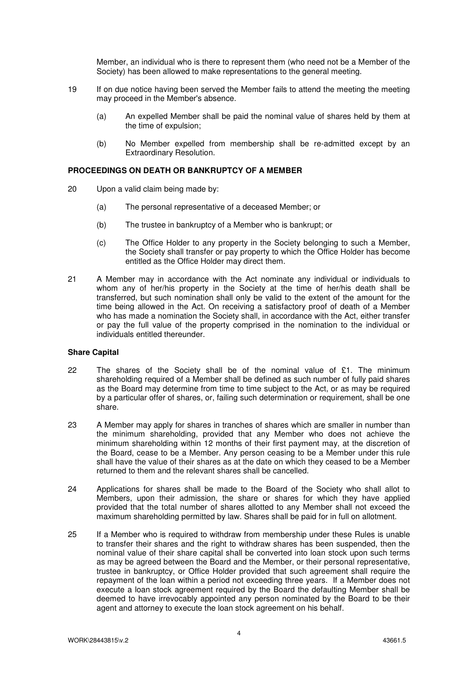Member, an individual who is there to represent them (who need not be a Member of the Society) has been allowed to make representations to the general meeting.

- 19 If on due notice having been served the Member fails to attend the meeting the meeting may proceed in the Member's absence.
	- (a) An expelled Member shall be paid the nominal value of shares held by them at the time of expulsion;
	- (b) No Member expelled from membership shall be re-admitted except by an Extraordinary Resolution.

#### **PROCEEDINGS ON DEATH OR BANKRUPTCY OF A MEMBER**

- 20 Upon a valid claim being made by:
	- (a) The personal representative of a deceased Member; or
	- (b) The trustee in bankruptcy of a Member who is bankrupt; or
	- (c) The Office Holder to any property in the Society belonging to such a Member, the Society shall transfer or pay property to which the Office Holder has become entitled as the Office Holder may direct them.
- 21 A Member may in accordance with the Act nominate any individual or individuals to whom any of her/his property in the Society at the time of her/his death shall be transferred, but such nomination shall only be valid to the extent of the amount for the time being allowed in the Act. On receiving a satisfactory proof of death of a Member who has made a nomination the Society shall, in accordance with the Act, either transfer or pay the full value of the property comprised in the nomination to the individual or individuals entitled thereunder.

#### **Share Capital**

- 22 The shares of the Society shall be of the nominal value of  $£1$ . The minimum shareholding required of a Member shall be defined as such number of fully paid shares as the Board may determine from time to time subject to the Act, or as may be required by a particular offer of shares, or, failing such determination or requirement, shall be one share.
- 23 A Member may apply for shares in tranches of shares which are smaller in number than the minimum shareholding, provided that any Member who does not achieve the minimum shareholding within 12 months of their first payment may, at the discretion of the Board, cease to be a Member. Any person ceasing to be a Member under this rule shall have the value of their shares as at the date on which they ceased to be a Member returned to them and the relevant shares shall be cancelled.
- 24 Applications for shares shall be made to the Board of the Society who shall allot to Members, upon their admission, the share or shares for which they have applied provided that the total number of shares allotted to any Member shall not exceed the maximum shareholding permitted by law. Shares shall be paid for in full on allotment.
- 25 If a Member who is required to withdraw from membership under these Rules is unable to transfer their shares and the right to withdraw shares has been suspended, then the nominal value of their share capital shall be converted into loan stock upon such terms as may be agreed between the Board and the Member, or their personal representative, trustee in bankruptcy, or Office Holder provided that such agreement shall require the repayment of the loan within a period not exceeding three years. If a Member does not execute a loan stock agreement required by the Board the defaulting Member shall be deemed to have irrevocably appointed any person nominated by the Board to be their agent and attorney to execute the loan stock agreement on his behalf.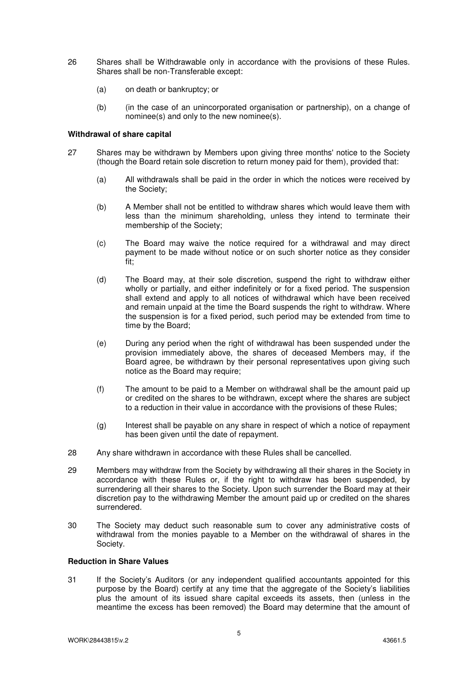- 26 Shares shall be Withdrawable only in accordance with the provisions of these Rules. Shares shall be non-Transferable except:
	- (a) on death or bankruptcy; or
	- (b) (in the case of an unincorporated organisation or partnership), on a change of nominee(s) and only to the new nominee(s).

#### **Withdrawal of share capital**

- 27 Shares may be withdrawn by Members upon giving three months' notice to the Society (though the Board retain sole discretion to return money paid for them), provided that:
	- (a) All withdrawals shall be paid in the order in which the notices were received by the Society;
	- (b) A Member shall not be entitled to withdraw shares which would leave them with less than the minimum shareholding, unless they intend to terminate their membership of the Society;
	- (c) The Board may waive the notice required for a withdrawal and may direct payment to be made without notice or on such shorter notice as they consider fit;
	- (d) The Board may, at their sole discretion, suspend the right to withdraw either wholly or partially, and either indefinitely or for a fixed period. The suspension shall extend and apply to all notices of withdrawal which have been received and remain unpaid at the time the Board suspends the right to withdraw. Where the suspension is for a fixed period, such period may be extended from time to time by the Board;
	- (e) During any period when the right of withdrawal has been suspended under the provision immediately above, the shares of deceased Members may, if the Board agree, be withdrawn by their personal representatives upon giving such notice as the Board may require;
	- (f) The amount to be paid to a Member on withdrawal shall be the amount paid up or credited on the shares to be withdrawn, except where the shares are subject to a reduction in their value in accordance with the provisions of these Rules;
	- (g) Interest shall be payable on any share in respect of which a notice of repayment has been given until the date of repayment.
- 28 Any share withdrawn in accordance with these Rules shall be cancelled.
- 29 Members may withdraw from the Society by withdrawing all their shares in the Society in accordance with these Rules or, if the right to withdraw has been suspended, by surrendering all their shares to the Society. Upon such surrender the Board may at their discretion pay to the withdrawing Member the amount paid up or credited on the shares surrendered.
- 30 The Society may deduct such reasonable sum to cover any administrative costs of withdrawal from the monies payable to a Member on the withdrawal of shares in the Society.

#### **Reduction in Share Values**

31 If the Society's Auditors (or any independent qualified accountants appointed for this purpose by the Board) certify at any time that the aggregate of the Society's liabilities plus the amount of its issued share capital exceeds its assets, then (unless in the meantime the excess has been removed) the Board may determine that the amount of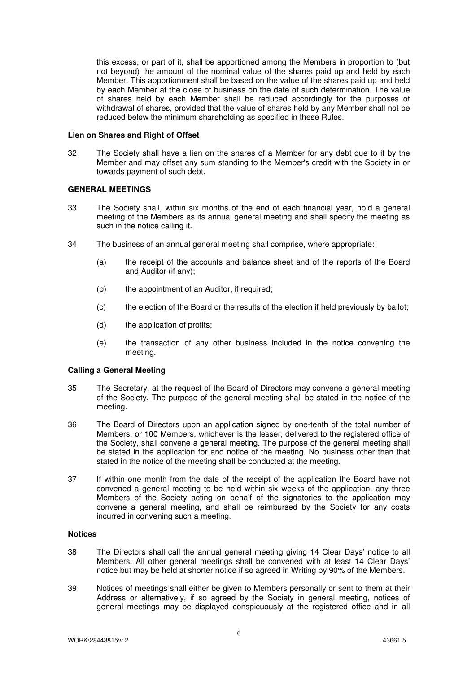this excess, or part of it, shall be apportioned among the Members in proportion to (but not beyond) the amount of the nominal value of the shares paid up and held by each Member. This apportionment shall be based on the value of the shares paid up and held by each Member at the close of business on the date of such determination. The value of shares held by each Member shall be reduced accordingly for the purposes of withdrawal of shares, provided that the value of shares held by any Member shall not be reduced below the minimum shareholding as specified in these Rules.

#### **Lien on Shares and Right of Offset**

32 The Society shall have a lien on the shares of a Member for any debt due to it by the Member and may offset any sum standing to the Member's credit with the Society in or towards payment of such debt.

#### **GENERAL MEETINGS**

- 33 The Society shall, within six months of the end of each financial year, hold a general meeting of the Members as its annual general meeting and shall specify the meeting as such in the notice calling it.
- 34 The business of an annual general meeting shall comprise, where appropriate:
	- (a) the receipt of the accounts and balance sheet and of the reports of the Board and Auditor (if any);
	- (b) the appointment of an Auditor, if required;
	- (c) the election of the Board or the results of the election if held previously by ballot;
	- (d) the application of profits;
	- (e) the transaction of any other business included in the notice convening the meeting.

#### **Calling a General Meeting**

- 35 The Secretary, at the request of the Board of Directors may convene a general meeting of the Society. The purpose of the general meeting shall be stated in the notice of the meeting.
- 36 The Board of Directors upon an application signed by one-tenth of the total number of Members, or 100 Members, whichever is the lesser, delivered to the registered office of the Society, shall convene a general meeting. The purpose of the general meeting shall be stated in the application for and notice of the meeting. No business other than that stated in the notice of the meeting shall be conducted at the meeting.
- 37 If within one month from the date of the receipt of the application the Board have not convened a general meeting to be held within six weeks of the application, any three Members of the Society acting on behalf of the signatories to the application may convene a general meeting, and shall be reimbursed by the Society for any costs incurred in convening such a meeting.

#### **Notices**

- 38 The Directors shall call the annual general meeting giving 14 Clear Days' notice to all Members. All other general meetings shall be convened with at least 14 Clear Days' notice but may be held at shorter notice if so agreed in Writing by 90% of the Members.
- 39 Notices of meetings shall either be given to Members personally or sent to them at their Address or alternatively, if so agreed by the Society in general meeting, notices of general meetings may be displayed conspicuously at the registered office and in all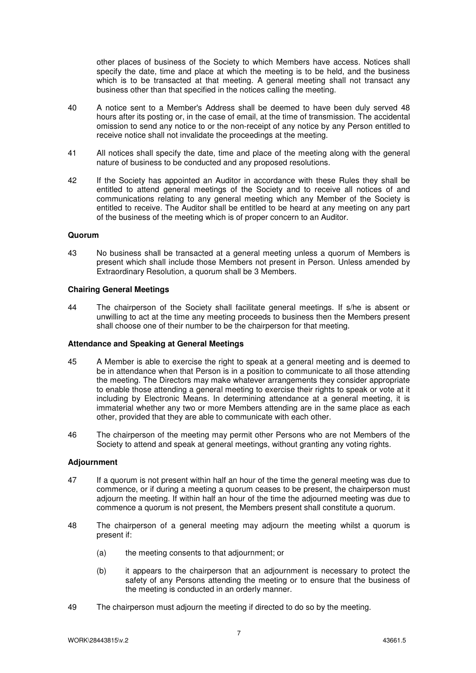other places of business of the Society to which Members have access. Notices shall specify the date, time and place at which the meeting is to be held, and the business which is to be transacted at that meeting. A general meeting shall not transact any business other than that specified in the notices calling the meeting.

- 40 A notice sent to a Member's Address shall be deemed to have been duly served 48 hours after its posting or, in the case of email, at the time of transmission. The accidental omission to send any notice to or the non-receipt of any notice by any Person entitled to receive notice shall not invalidate the proceedings at the meeting.
- 41 All notices shall specify the date, time and place of the meeting along with the general nature of business to be conducted and any proposed resolutions.
- 42 If the Society has appointed an Auditor in accordance with these Rules they shall be entitled to attend general meetings of the Society and to receive all notices of and communications relating to any general meeting which any Member of the Society is entitled to receive. The Auditor shall be entitled to be heard at any meeting on any part of the business of the meeting which is of proper concern to an Auditor.

#### **Quorum**

43 No business shall be transacted at a general meeting unless a quorum of Members is present which shall include those Members not present in Person. Unless amended by Extraordinary Resolution, a quorum shall be 3 Members.

#### **Chairing General Meetings**

44 The chairperson of the Society shall facilitate general meetings. If s/he is absent or unwilling to act at the time any meeting proceeds to business then the Members present shall choose one of their number to be the chairperson for that meeting.

#### **Attendance and Speaking at General Meetings**

- 45 A Member is able to exercise the right to speak at a general meeting and is deemed to be in attendance when that Person is in a position to communicate to all those attending the meeting. The Directors may make whatever arrangements they consider appropriate to enable those attending a general meeting to exercise their rights to speak or vote at it including by Electronic Means. In determining attendance at a general meeting, it is immaterial whether any two or more Members attending are in the same place as each other, provided that they are able to communicate with each other.
- 46 The chairperson of the meeting may permit other Persons who are not Members of the Society to attend and speak at general meetings, without granting any voting rights.

#### **Adjournment**

- 47 If a quorum is not present within half an hour of the time the general meeting was due to commence, or if during a meeting a quorum ceases to be present, the chairperson must adjourn the meeting. If within half an hour of the time the adjourned meeting was due to commence a quorum is not present, the Members present shall constitute a quorum.
- 48 The chairperson of a general meeting may adjourn the meeting whilst a quorum is present if:
	- (a) the meeting consents to that adjournment; or
	- (b) it appears to the chairperson that an adjournment is necessary to protect the safety of any Persons attending the meeting or to ensure that the business of the meeting is conducted in an orderly manner.
- 49 The chairperson must adjourn the meeting if directed to do so by the meeting.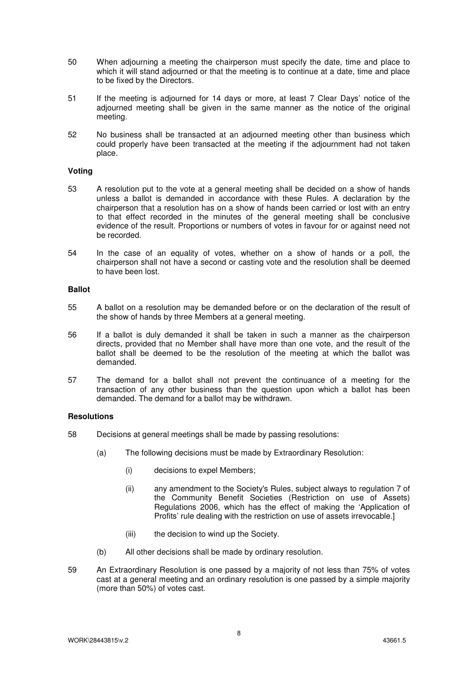- 50 When adjourning a meeting the chairperson must specify the date, time and place to which it will stand adjourned or that the meeting is to continue at a date, time and place to be fixed by the Directors.
- 51 If the meeting is adjourned for 14 days or more, at least 7 Clear Days' notice of the adjourned meeting shall be given in the same manner as the notice of the original meeting.
- 52 No business shall be transacted at an adjourned meeting other than business which could properly have been transacted at the meeting if the adjournment had not taken place.

#### **Voting**

- 53 A resolution put to the vote at a general meeting shall be decided on a show of hands unless a ballot is demanded in accordance with these Rules. A declaration by the chairperson that a resolution has on a show of hands been carried or lost with an entry to that effect recorded in the minutes of the general meeting shall be conclusive evidence of the result. Proportions or numbers of votes in favour for or against need not be recorded.
- 54 In the case of an equality of votes, whether on a show of hands or a poll, the chairperson shall not have a second or casting vote and the resolution shall be deemed to have been lost.

#### **Ballot**

- 55 A ballot on a resolution may be demanded before or on the declaration of the result of the show of hands by three Members at a general meeting.
- 56 If a ballot is duly demanded it shall be taken in such a manner as the chairperson directs, provided that no Member shall have more than one vote, and the result of the ballot shall be deemed to be the resolution of the meeting at which the ballot was demanded.
- 57 The demand for a ballot shall not prevent the continuance of a meeting for the transaction of any other business than the question upon which a ballot has been demanded. The demand for a ballot may be withdrawn.

#### **Resolutions**

- 58 Decisions at general meetings shall be made by passing resolutions:
	- (a) The following decisions must be made by Extraordinary Resolution:
		- (i) decisions to expel Members;
		- (ii) any amendment to the Society's Rules, subject always to regulation 7 of the Community Benefit Societies (Restriction on use of Assets) Regulations 2006, which has the effect of making the 'Application of Profits' rule dealing with the restriction on use of assets irrevocable.]
		- (iii) the decision to wind up the Society.
	- (b) All other decisions shall be made by ordinary resolution.
- 59 An Extraordinary Resolution is one passed by a majority of not less than 75% of votes cast at a general meeting and an ordinary resolution is one passed by a simple majority (more than 50%) of votes cast.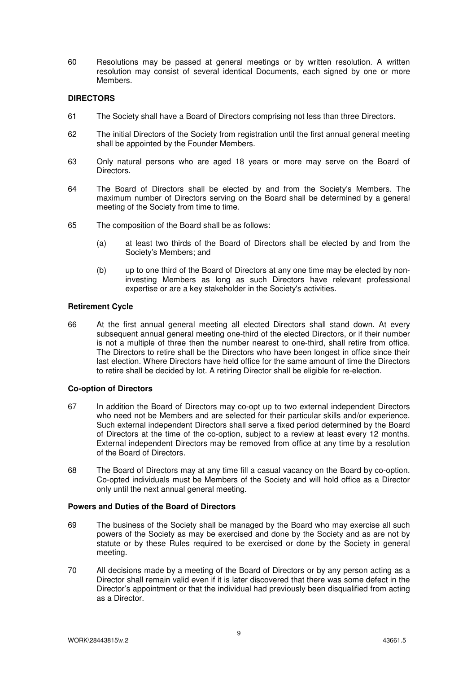60 Resolutions may be passed at general meetings or by written resolution. A written resolution may consist of several identical Documents, each signed by one or more Members.

#### **DIRECTORS**

- 61 The Society shall have a Board of Directors comprising not less than three Directors.
- 62 The initial Directors of the Society from registration until the first annual general meeting shall be appointed by the Founder Members.
- 63 Only natural persons who are aged 18 years or more may serve on the Board of Directors.
- 64 The Board of Directors shall be elected by and from the Society's Members. The maximum number of Directors serving on the Board shall be determined by a general meeting of the Society from time to time.
- 65 The composition of the Board shall be as follows:
	- (a) at least two thirds of the Board of Directors shall be elected by and from the Society's Members; and
	- (b) up to one third of the Board of Directors at any one time may be elected by noninvesting Members as long as such Directors have relevant professional expertise or are a key stakeholder in the Society's activities.

#### **Retirement Cycle**

66 At the first annual general meeting all elected Directors shall stand down. At every subsequent annual general meeting one-third of the elected Directors, or if their number is not a multiple of three then the number nearest to one-third, shall retire from office. The Directors to retire shall be the Directors who have been longest in office since their last election. Where Directors have held office for the same amount of time the Directors to retire shall be decided by lot. A retiring Director shall be eligible for re-election.

#### **Co-option of Directors**

- 67 In addition the Board of Directors may co-opt up to two external independent Directors who need not be Members and are selected for their particular skills and/or experience. Such external independent Directors shall serve a fixed period determined by the Board of Directors at the time of the co-option, subject to a review at least every 12 months. External independent Directors may be removed from office at any time by a resolution of the Board of Directors.
- 68 The Board of Directors may at any time fill a casual vacancy on the Board by co-option. Co-opted individuals must be Members of the Society and will hold office as a Director only until the next annual general meeting.

#### **Powers and Duties of the Board of Directors**

- 69 The business of the Society shall be managed by the Board who may exercise all such powers of the Society as may be exercised and done by the Society and as are not by statute or by these Rules required to be exercised or done by the Society in general meeting.
- 70 All decisions made by a meeting of the Board of Directors or by any person acting as a Director shall remain valid even if it is later discovered that there was some defect in the Director's appointment or that the individual had previously been disqualified from acting as a Director.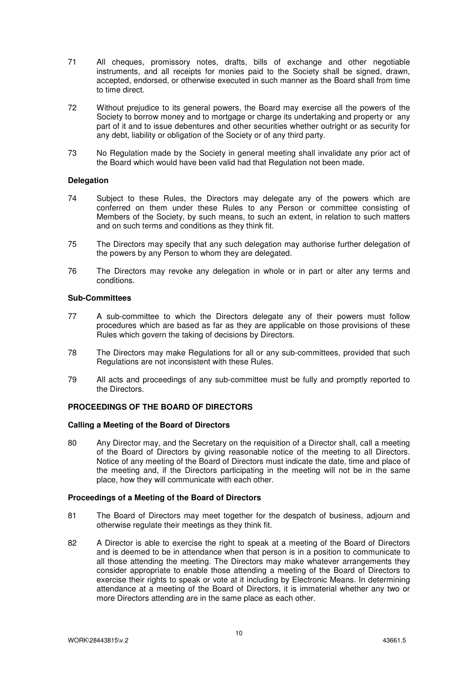- 71 All cheques, promissory notes, drafts, bills of exchange and other negotiable instruments, and all receipts for monies paid to the Society shall be signed, drawn, accepted, endorsed, or otherwise executed in such manner as the Board shall from time to time direct.
- 72 Without prejudice to its general powers, the Board may exercise all the powers of the Society to borrow money and to mortgage or charge its undertaking and property or any part of it and to issue debentures and other securities whether outright or as security for any debt, liability or obligation of the Society or of any third party.
- 73 No Regulation made by the Society in general meeting shall invalidate any prior act of the Board which would have been valid had that Regulation not been made.

#### **Delegation**

- 74 Subject to these Rules, the Directors may delegate any of the powers which are conferred on them under these Rules to any Person or committee consisting of Members of the Society, by such means, to such an extent, in relation to such matters and on such terms and conditions as they think fit.
- 75 The Directors may specify that any such delegation may authorise further delegation of the powers by any Person to whom they are delegated.
- 76 The Directors may revoke any delegation in whole or in part or alter any terms and conditions.

#### **Sub-Committees**

- 77 A sub-committee to which the Directors delegate any of their powers must follow procedures which are based as far as they are applicable on those provisions of these Rules which govern the taking of decisions by Directors.
- 78 The Directors may make Regulations for all or any sub-committees, provided that such Regulations are not inconsistent with these Rules.
- 79 All acts and proceedings of any sub-committee must be fully and promptly reported to the Directors.

# **PROCEEDINGS OF THE BOARD OF DIRECTORS**

#### **Calling a Meeting of the Board of Directors**

80 Any Director may, and the Secretary on the requisition of a Director shall, call a meeting of the Board of Directors by giving reasonable notice of the meeting to all Directors. Notice of any meeting of the Board of Directors must indicate the date, time and place of the meeting and, if the Directors participating in the meeting will not be in the same place, how they will communicate with each other.

#### **Proceedings of a Meeting of the Board of Directors**

- 81 The Board of Directors may meet together for the despatch of business, adjourn and otherwise regulate their meetings as they think fit.
- 82 A Director is able to exercise the right to speak at a meeting of the Board of Directors and is deemed to be in attendance when that person is in a position to communicate to all those attending the meeting. The Directors may make whatever arrangements they consider appropriate to enable those attending a meeting of the Board of Directors to exercise their rights to speak or vote at it including by Electronic Means. In determining attendance at a meeting of the Board of Directors, it is immaterial whether any two or more Directors attending are in the same place as each other.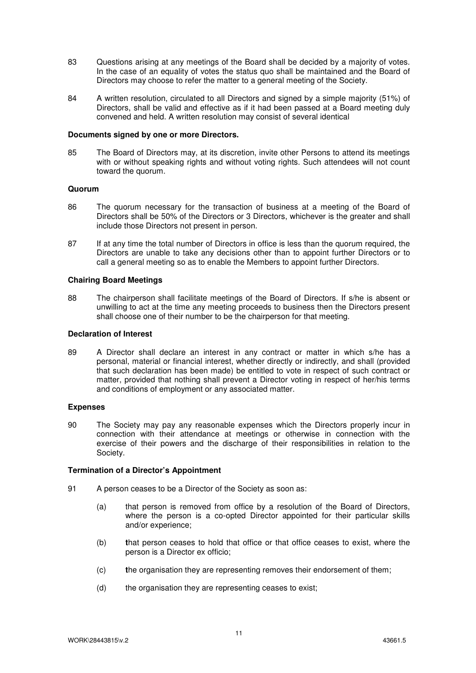- 83 Questions arising at any meetings of the Board shall be decided by a majority of votes. In the case of an equality of votes the status quo shall be maintained and the Board of Directors may choose to refer the matter to a general meeting of the Society.
- 84 A written resolution, circulated to all Directors and signed by a simple majority (51%) of Directors, shall be valid and effective as if it had been passed at a Board meeting duly convened and held. A written resolution may consist of several identical

#### **Documents signed by one or more Directors.**

85 The Board of Directors may, at its discretion, invite other Persons to attend its meetings with or without speaking rights and without voting rights. Such attendees will not count toward the quorum.

#### **Quorum**

- 86 The quorum necessary for the transaction of business at a meeting of the Board of Directors shall be 50% of the Directors or 3 Directors, whichever is the greater and shall include those Directors not present in person.
- 87 If at any time the total number of Directors in office is less than the quorum required, the Directors are unable to take any decisions other than to appoint further Directors or to call a general meeting so as to enable the Members to appoint further Directors.

#### **Chairing Board Meetings**

88 The chairperson shall facilitate meetings of the Board of Directors. If s/he is absent or unwilling to act at the time any meeting proceeds to business then the Directors present shall choose one of their number to be the chairperson for that meeting.

#### **Declaration of Interest**

89 A Director shall declare an interest in any contract or matter in which s/he has a personal, material or financial interest, whether directly or indirectly, and shall (provided that such declaration has been made) be entitled to vote in respect of such contract or matter, provided that nothing shall prevent a Director voting in respect of her/his terms and conditions of employment or any associated matter.

#### **Expenses**

90 The Society may pay any reasonable expenses which the Directors properly incur in connection with their attendance at meetings or otherwise in connection with the exercise of their powers and the discharge of their responsibilities in relation to the Society.

#### **Termination of a Director's Appointment**

- 91 A person ceases to be a Director of the Society as soon as:
	- (a) that person is removed from office by a resolution of the Board of Directors, where the person is a co-opted Director appointed for their particular skills and/or experience;
	- (b) **t**hat person ceases to hold that office or that office ceases to exist, where the person is a Director ex officio;
	- (c) **t**he organisation they are representing removes their endorsement of them;
	- (d) the organisation they are representing ceases to exist;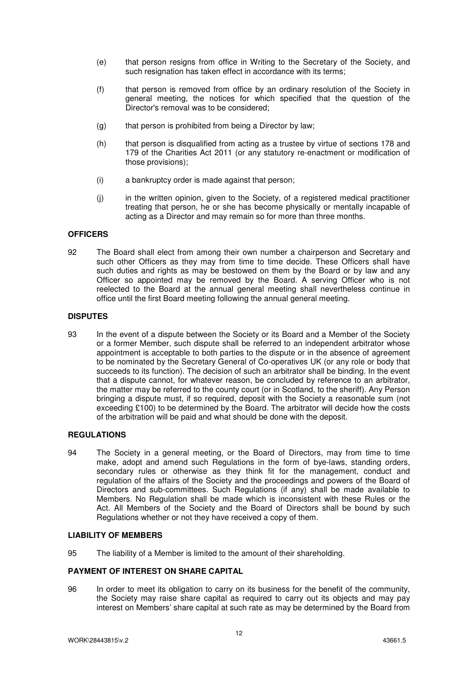- (e) that person resigns from office in Writing to the Secretary of the Society, and such resignation has taken effect in accordance with its terms;
- (f) that person is removed from office by an ordinary resolution of the Society in general meeting, the notices for which specified that the question of the Director's removal was to be considered;
- (g) that person is prohibited from being a Director by law;
- (h) that person is disqualified from acting as a trustee by virtue of sections 178 and 179 of the Charities Act 2011 (or any statutory re-enactment or modification of those provisions);
- (i) a bankruptcy order is made against that person;
- (j) in the written opinion, given to the Society, of a registered medical practitioner treating that person, he or she has become physically or mentally incapable of acting as a Director and may remain so for more than three months.

#### **OFFICERS**

92 The Board shall elect from among their own number a chairperson and Secretary and such other Officers as they may from time to time decide. These Officers shall have such duties and rights as may be bestowed on them by the Board or by law and any Officer so appointed may be removed by the Board. A serving Officer who is not reelected to the Board at the annual general meeting shall nevertheless continue in office until the first Board meeting following the annual general meeting.

#### **DISPUTES**

93 In the event of a dispute between the Society or its Board and a Member of the Society or a former Member, such dispute shall be referred to an independent arbitrator whose appointment is acceptable to both parties to the dispute or in the absence of agreement to be nominated by the Secretary General of Co-operatives UK (or any role or body that succeeds to its function). The decision of such an arbitrator shall be binding. In the event that a dispute cannot, for whatever reason, be concluded by reference to an arbitrator, the matter may be referred to the county court (or in Scotland, to the sheriff). Any Person bringing a dispute must, if so required, deposit with the Society a reasonable sum (not exceeding £100) to be determined by the Board. The arbitrator will decide how the costs of the arbitration will be paid and what should be done with the deposit.

#### **REGULATIONS**

94 The Society in a general meeting, or the Board of Directors, may from time to time make, adopt and amend such Regulations in the form of bye-laws, standing orders, secondary rules or otherwise as they think fit for the management, conduct and regulation of the affairs of the Society and the proceedings and powers of the Board of Directors and sub-committees. Such Regulations (if any) shall be made available to Members. No Regulation shall be made which is inconsistent with these Rules or the Act. All Members of the Society and the Board of Directors shall be bound by such Regulations whether or not they have received a copy of them.

#### **LIABILITY OF MEMBERS**

95 The liability of a Member is limited to the amount of their shareholding.

#### **PAYMENT OF INTEREST ON SHARE CAPITAL**

96 In order to meet its obligation to carry on its business for the benefit of the community, the Society may raise share capital as required to carry out its objects and may pay interest on Members' share capital at such rate as may be determined by the Board from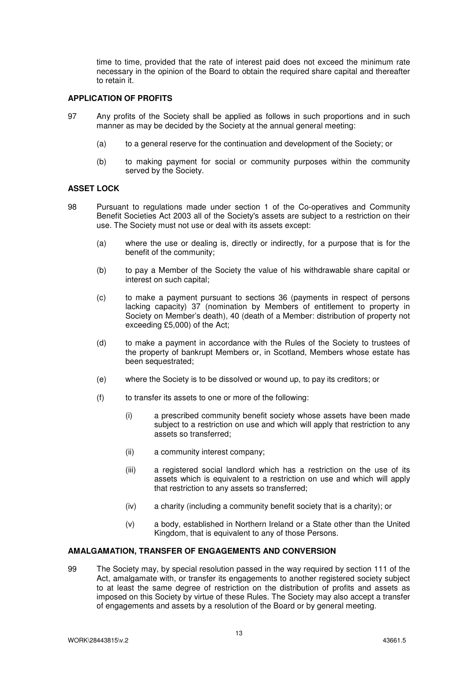time to time, provided that the rate of interest paid does not exceed the minimum rate necessary in the opinion of the Board to obtain the required share capital and thereafter to retain it.

#### **APPLICATION OF PROFITS**

- 97 Any profits of the Society shall be applied as follows in such proportions and in such manner as may be decided by the Society at the annual general meeting:
	- (a) to a general reserve for the continuation and development of the Society; or
	- (b) to making payment for social or community purposes within the community served by the Society.

#### **ASSET LOCK**

- 98 Pursuant to regulations made under section 1 of the Co-operatives and Community Benefit Societies Act 2003 all of the Society's assets are subject to a restriction on their use. The Society must not use or deal with its assets except:
	- (a) where the use or dealing is, directly or indirectly, for a purpose that is for the benefit of the community;
	- (b) to pay a Member of the Society the value of his withdrawable share capital or interest on such capital;
	- (c) to make a payment pursuant to sections 36 (payments in respect of persons lacking capacity) 37 (nomination by Members of entitlement to property in Society on Member's death), 40 (death of a Member: distribution of property not exceeding £5,000) of the Act;
	- (d) to make a payment in accordance with the Rules of the Society to trustees of the property of bankrupt Members or, in Scotland, Members whose estate has been sequestrated;
	- (e) where the Society is to be dissolved or wound up, to pay its creditors; or
	- (f) to transfer its assets to one or more of the following:
		- (i) a prescribed community benefit society whose assets have been made subject to a restriction on use and which will apply that restriction to any assets so transferred;
		- (ii) a community interest company;
		- (iii) a registered social landlord which has a restriction on the use of its assets which is equivalent to a restriction on use and which will apply that restriction to any assets so transferred;
		- (iv) a charity (including a community benefit society that is a charity); or
		- (v) a body, established in Northern Ireland or a State other than the United Kingdom, that is equivalent to any of those Persons.

#### **AMALGAMATION, TRANSFER OF ENGAGEMENTS AND CONVERSION**

99 The Society may, by special resolution passed in the way required by section 111 of the Act, amalgamate with, or transfer its engagements to another registered society subject to at least the same degree of restriction on the distribution of profits and assets as imposed on this Society by virtue of these Rules. The Society may also accept a transfer of engagements and assets by a resolution of the Board or by general meeting.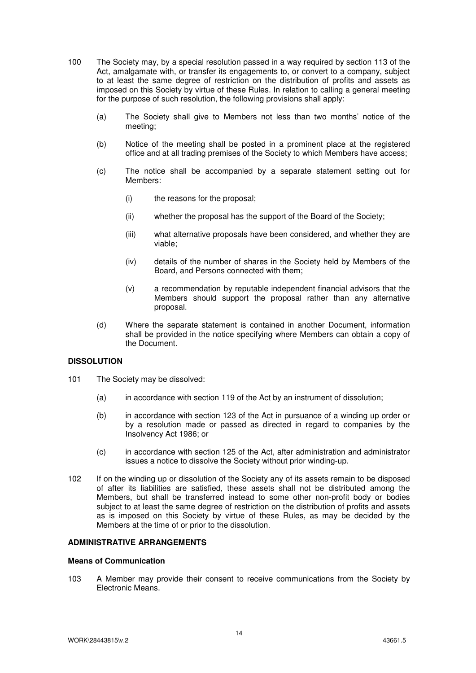- 100 The Society may, by a special resolution passed in a way required by section 113 of the Act, amalgamate with, or transfer its engagements to, or convert to a company, subject to at least the same degree of restriction on the distribution of profits and assets as imposed on this Society by virtue of these Rules. In relation to calling a general meeting for the purpose of such resolution, the following provisions shall apply:
	- (a) The Society shall give to Members not less than two months' notice of the meeting;
	- (b) Notice of the meeting shall be posted in a prominent place at the registered office and at all trading premises of the Society to which Members have access;
	- (c) The notice shall be accompanied by a separate statement setting out for Members:
		- (i) the reasons for the proposal;
		- (ii) whether the proposal has the support of the Board of the Society;
		- (iii) what alternative proposals have been considered, and whether they are viable;
		- (iv) details of the number of shares in the Society held by Members of the Board, and Persons connected with them;
		- (v) a recommendation by reputable independent financial advisors that the Members should support the proposal rather than any alternative proposal.
	- (d) Where the separate statement is contained in another Document, information shall be provided in the notice specifying where Members can obtain a copy of the Document.

#### **DISSOLUTION**

- 101 The Society may be dissolved:
	- (a) in accordance with section 119 of the Act by an instrument of dissolution;
	- (b) in accordance with section 123 of the Act in pursuance of a winding up order or by a resolution made or passed as directed in regard to companies by the Insolvency Act 1986; or
	- (c) in accordance with section 125 of the Act, after administration and administrator issues a notice to dissolve the Society without prior winding-up.
- 102 If on the winding up or dissolution of the Society any of its assets remain to be disposed of after its liabilities are satisfied, these assets shall not be distributed among the Members, but shall be transferred instead to some other non-profit body or bodies subject to at least the same degree of restriction on the distribution of profits and assets as is imposed on this Society by virtue of these Rules, as may be decided by the Members at the time of or prior to the dissolution.

#### **ADMINISTRATIVE ARRANGEMENTS**

#### **Means of Communication**

103 A Member may provide their consent to receive communications from the Society by Electronic Means.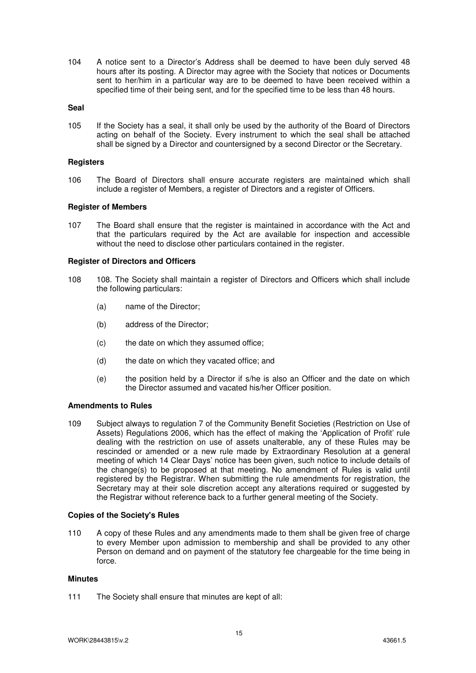104 A notice sent to a Director's Address shall be deemed to have been duly served 48 hours after its posting. A Director may agree with the Society that notices or Documents sent to her/him in a particular way are to be deemed to have been received within a specified time of their being sent, and for the specified time to be less than 48 hours.

#### **Seal**

105 If the Society has a seal, it shall only be used by the authority of the Board of Directors acting on behalf of the Society. Every instrument to which the seal shall be attached shall be signed by a Director and countersigned by a second Director or the Secretary.

#### **Registers**

106 The Board of Directors shall ensure accurate registers are maintained which shall include a register of Members, a register of Directors and a register of Officers.

#### **Register of Members**

107 The Board shall ensure that the register is maintained in accordance with the Act and that the particulars required by the Act are available for inspection and accessible without the need to disclose other particulars contained in the register.

#### **Register of Directors and Officers**

- 108 108. The Society shall maintain a register of Directors and Officers which shall include the following particulars:
	- (a) name of the Director;
	- (b) address of the Director;
	- (c) the date on which they assumed office;
	- (d) the date on which they vacated office; and
	- (e) the position held by a Director if s/he is also an Officer and the date on which the Director assumed and vacated his/her Officer position.

#### **Amendments to Rules**

109 Subject always to regulation 7 of the Community Benefit Societies (Restriction on Use of Assets) Regulations 2006, which has the effect of making the 'Application of Profit' rule dealing with the restriction on use of assets unalterable, any of these Rules may be rescinded or amended or a new rule made by Extraordinary Resolution at a general meeting of which 14 Clear Days' notice has been given, such notice to include details of the change(s) to be proposed at that meeting. No amendment of Rules is valid until registered by the Registrar. When submitting the rule amendments for registration, the Secretary may at their sole discretion accept any alterations required or suggested by the Registrar without reference back to a further general meeting of the Society.

#### **Copies of the Society's Rules**

110 A copy of these Rules and any amendments made to them shall be given free of charge to every Member upon admission to membership and shall be provided to any other Person on demand and on payment of the statutory fee chargeable for the time being in force.

#### **Minutes**

111 The Society shall ensure that minutes are kept of all: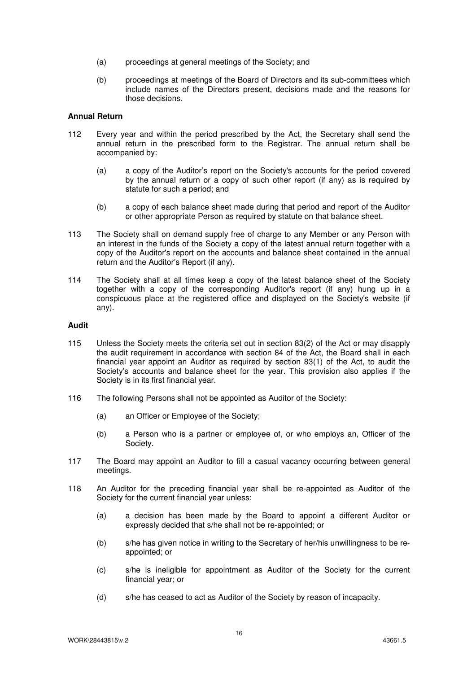- (a) proceedings at general meetings of the Society; and
- (b) proceedings at meetings of the Board of Directors and its sub-committees which include names of the Directors present, decisions made and the reasons for those decisions.

#### **Annual Return**

- 112 Every year and within the period prescribed by the Act, the Secretary shall send the annual return in the prescribed form to the Registrar. The annual return shall be accompanied by:
	- (a) a copy of the Auditor's report on the Society's accounts for the period covered by the annual return or a copy of such other report (if any) as is required by statute for such a period; and
	- (b) a copy of each balance sheet made during that period and report of the Auditor or other appropriate Person as required by statute on that balance sheet.
- 113 The Society shall on demand supply free of charge to any Member or any Person with an interest in the funds of the Society a copy of the latest annual return together with a copy of the Auditor's report on the accounts and balance sheet contained in the annual return and the Auditor's Report (if any).
- 114 The Society shall at all times keep a copy of the latest balance sheet of the Society together with a copy of the corresponding Auditor's report (if any) hung up in a conspicuous place at the registered office and displayed on the Society's website (if any).

#### **Audit**

- 115 Unless the Society meets the criteria set out in section 83(2) of the Act or may disapply the audit requirement in accordance with section 84 of the Act, the Board shall in each financial year appoint an Auditor as required by section 83(1) of the Act, to audit the Society's accounts and balance sheet for the year. This provision also applies if the Society is in its first financial year.
- 116 The following Persons shall not be appointed as Auditor of the Society:
	- (a) an Officer or Employee of the Society;
	- (b) a Person who is a partner or employee of, or who employs an, Officer of the Society.
- 117 The Board may appoint an Auditor to fill a casual vacancy occurring between general meetings.
- 118 An Auditor for the preceding financial year shall be re-appointed as Auditor of the Society for the current financial year unless:
	- (a) a decision has been made by the Board to appoint a different Auditor or expressly decided that s/he shall not be re-appointed; or
	- (b) s/he has given notice in writing to the Secretary of her/his unwillingness to be reappointed; or
	- (c) s/he is ineligible for appointment as Auditor of the Society for the current financial year; or
	- (d) s/he has ceased to act as Auditor of the Society by reason of incapacity.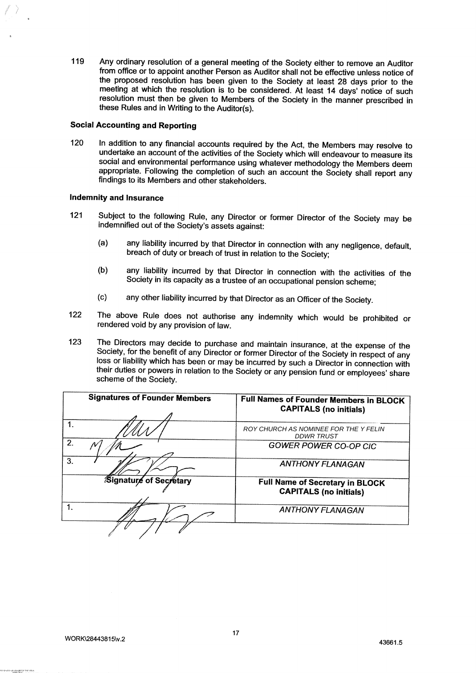119 Any ordinary resolution of a general meeting of the Society either to remove an Auditor <sup>f</sup>rom office or to appoint another Person as Auditor shall not be effective unless notice of <sup>t</sup>he proposed resolution has been given to the Society at least 28 days prior to the <sup>m</sup>eeting at which the resolution is to be considered. At least 14 days' notice of such <sup>r</sup>esolution must then be given to Members of the Society in the manner prescribed in these Rules and in Writing to the Auditor(s).

#### <sup>S</sup>ocial Accounting and Reporting

<sup>1</sup>20 In addition to any financial accounts required by the Act, the Members may resolve to <sup>u</sup>ndertake an account of the activities of the Society which will endeavour to measure its <sup>s</sup>ocial and environmental performance using whatever methodology the Members deem <sup>a</sup>ppropriate. Following the completion of such an account the Society shall report any findings to its Members and other stakeholders.

#### <sup>I</sup>ndemnity and Insurance

- <sup>1</sup>21 Subject to the following Rule, any Director or former Director of the Society may be <sup>i</sup>ndemnified out of the Society's assets against:
	- (a) any liability incurred by that Director in connection with any negligence, default, <sup>b</sup>reach of duty or breach of trust in relation to the Society;
	- (b) any liability incurred by that Director in connection with the activities of the <sup>S</sup>ociety in its capacity as a trustee of an occupational pension scheme;
	- (c) any other liability incurred by that Director as an Officer of the Society.
- <sup>1</sup>22 The above Rule does not authorise any indemnity which would be prohibited or <sup>r</sup>endered void by any provision of law.
- 123 The Directors may decide to purchase and maintain insurance, at the expense of the Society, for the benefit of any Director or former Director of the Society in respect of any loss or liability which has been or may be incurred by such a Director in connection with <sup>t</sup>heir duties or powers in relation to the Society or any pension fund or employees' share scheme of the Society.

|    | <b>Signatures of Founder Members</b> | Full Names of Founder Members in BLOCK<br><b>CAPITALS (no initials)</b> |
|----|--------------------------------------|-------------------------------------------------------------------------|
|    |                                      | ROY CHURCH AS NOMINEE FOR THE Y FELIN<br><b>DDWR TRUST</b>              |
| 2. |                                      | <b>GOWER POWER CO-OP CIC</b>                                            |
| 3. |                                      | <b>ANTHONY FLANAGAN</b>                                                 |
|    | Signature of Secretary               | <b>Full Name of Secretary in BLOCK</b><br><b>CAPITALS (no initials)</b> |
| 1. |                                      | <b>ANTHONY FLANAGAN</b>                                                 |
|    |                                      |                                                                         |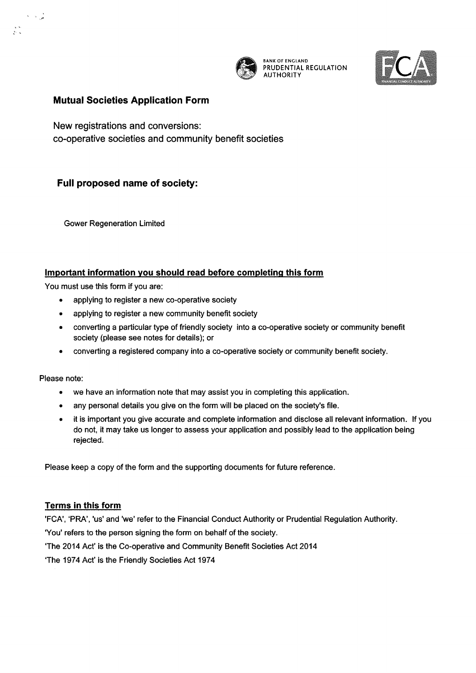

 $~$ BANK OF ENGLAND PRUDENTIAL REGULATION **AUTHORITY** 



# Mutual Societies Application Form

New registrations and conversions: co-operative societies and community benefit societies

# Full proposed name of society:

Gower Regeneration Limited

# Important information you should read before completing this form

You must use this form if you are:

- applying to register a new co-operative society
- applying to register a new community benefit society
- converting a particular type of friendly society into a co-operative society or community benefit society (please see notes for details); or
- converting a registered company into a co-operative society or community benefit society.

Please note:

 $\lambda = \omega_{\rm{tot}}^{-1}$ 

 $\frac{1}{2}$  ,  $\frac{1}{2}$ 

- we have an information note that may assist you in completing this application.
- any personal details you give on the form will be placed on the society's file.
- it is important you give accurate and complete information and disclose all relevant information. If you do not, it may take us longer to assess your application and possibly lead to the application being rejected.

Please keep a copy of the form and the supporting documents for future reference.

# Terms in this form

'FCA', `PRA', 'us' and 'we' refer to the Financial Conduct Authority or Prudential Regulation Authority.

'You' refers to the person signing the form on behalf of the society.

'The 2014 Act' is the Co-operative and Community Benefit Societies Act 2014

`The 1974 AcY is the Friendly Societies Act 1974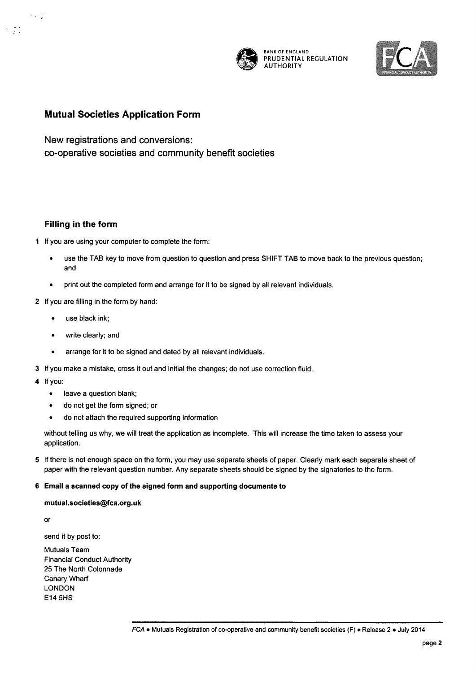

BANKOFENGLAND PRUDENTIAL REGULATION **AUTHORITY** 



# Mutual Societies Application Form

New registrations and conversions: co-operative societies and community benefit societies

#### Filling in the form

1 If you are using your computer to complete the form:

- use the TAB key to move from question to question and press SHIFT TAB to move back to the previous question; and
- print out the completed form and arrange for it to be signed by all relevant individuals.

#### 2 If you are filling in the form by hand:

- use black ink;
- write clearly; and
- arrange for it to be signed and dated by all relevant individuals.
- 3 If you make a mistake, cross it out and initial the changes; do not use correction fluid.
- 4 If you:

 $\sim$   $\sim$ 

 $\mathcal{F} \in \mathcal{F}$ 

- leave a question blank;
- do not get the form signed; or
- do not attach the required supporting information

without telling us why, we will treat the application as incomplete. This will increase the time taken to assess your application.

5 If there is not enough space on the form, you may use separate sheets of paper. Clearly mark each separate sheet of paper with the relevant question number. Any separate sheets should be signed by the signatories to the form.

#### 6 Email a scanned copy of the signed form and supporting documents to

#### mutual.societiesQfca.org.uk

or

send it by post to:

Mutuals Team Financial Conduct Authority 25 The North Colonnade Canary Wharf LONDON E14 5HS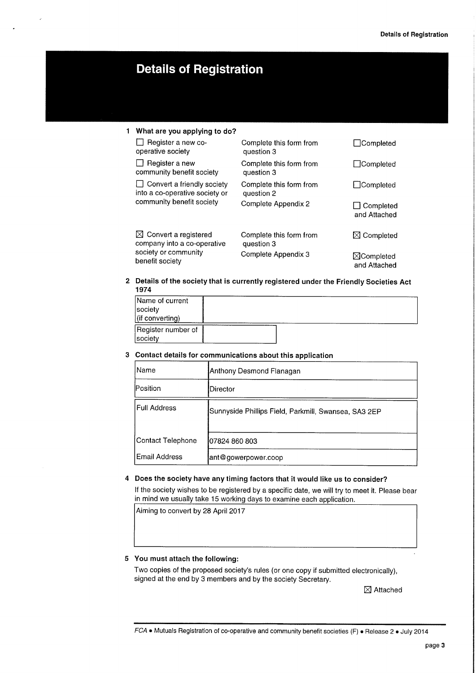# **Details of Registration**

## <sup>1</sup> What are you applying to do?

company into a co-operative<br>society or community

❑ Register a new co- Complete this form from ❑Completed operative society ❑ Register a new Complete this form from ❑Completed community benefit society □ Convert a friendly society Complete this form from □ ○ Completed into a co-operative society or question 2 into a co-operative society or<br>community benefit society Complete Appendix 2 □ □ Completed

 $\boxtimes$  Convert a registered Complete this form from  $\boxtimes$  Completed company into a co-operative question 3

and Attached

society or community complete Appendix 3  $\boxtimes$  Completed benefit society

2 Details of the society that is currently registered under the Friendly Societies Act 1974

| Name of current    |  |  |
|--------------------|--|--|
| society            |  |  |
| (if converting)    |  |  |
| Register number of |  |  |
| Isocietv           |  |  |

#### 3 Contact details for communications about this application

| Name                | Anthony Desmond Flanagan                             |
|---------------------|------------------------------------------------------|
| Position            | Director                                             |
| <b>Full Address</b> | Sunnyside Phillips Field, Parkmill, Swansea, SA3 2EP |
| Contact Telephone   | 07824 860 803                                        |
| Email Address       | ant@gowerpower.coop                                  |

#### 4 Does the society have any timing factors that it would like us to consider?

If the society wishes to be registered by a specific date, we will try to meet it. Please bear n mind we usually take 15 working days to examine each application.

Aiming to convert by 28 April 2017

#### 5 You must attach the following:

Two copies of the proposed society's rules (or one copy if submitted electronically), signed at the end by 3 members and by the society Secretary.

 $\boxtimes$  Attached

FCA • Mutuals Registration of co-operative and community benefit societies (F) • Release 2 • July 2014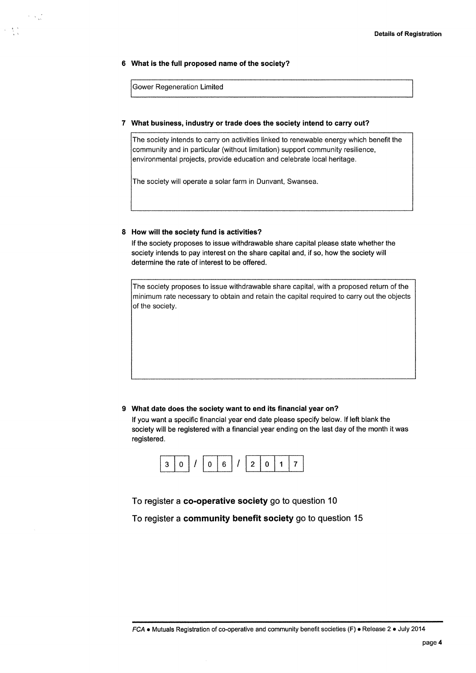#### 6 What is the full proposed name of the society?

Gower Regeneration Limited

 $\lambda \rightarrow \frac{1}{16}$ 

 $\Delta=\frac{1}{2}\frac{\pi}{2}$ 

#### 7 What business, industry or trade does the society intend to carry out?

The society intends to carry on activities linked to renewable energy which benefit the community and in particular (without limitation) support community resilience, environmental projects, provide education and celebrate local heritage.

The society will operate a solar farm in Dunvant, Swansea.

#### 8 How will the society fund is activities?

If the society proposes to issue withdrawable share capital please state whether the society intends to pay interest on the share capital and, if so, how the society will determine the rate of interest to be offered.

The society proposes to issue withdrawable share capital, with a proposed return of the minimum rate necessary to obtain and retain the capital required to carry out the objects of the society.

#### What date does the society want to end its financial year on?

If you want a specific financial year end date please specify below. If left blank the society will be registered with a financial year ending on the last day of the month it was registered.



To register a co-operative society go to question 10

To register a community benefit society go to question 15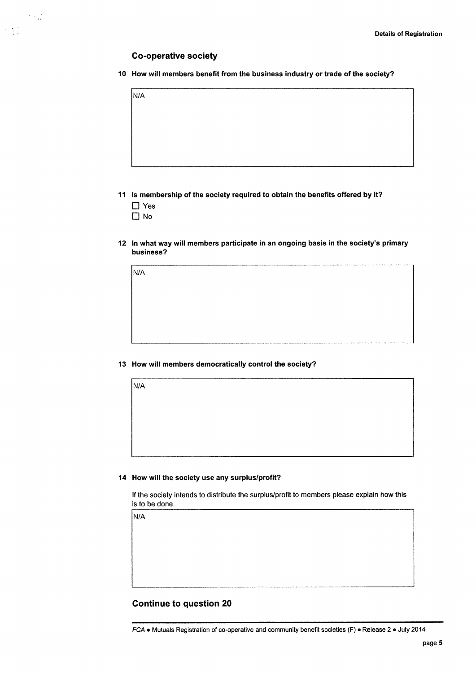#### Co-operative society

1Q How will members benefit from the business industry or trade of the society?

11 Is membership of the society required to obtain the benefits offered by it?

❑ Yes

NlA

 $\sim 10^{11}$ 

 $\sim 3\%$ 

❑ No

N1A

N/A

12 In what way will members participate in an ongoing basis in the society's primary business?

13 How will members democratically control the society?

#### 14 How will the society use any surplus/profit?

If the society intends to distribute the surplus/profit to members please explain how this is to be done.

N/A

#### Continue to question 20

FCA a Mutuals Registration of co-operative and community benefit societies (F) o Release 2 e July 2014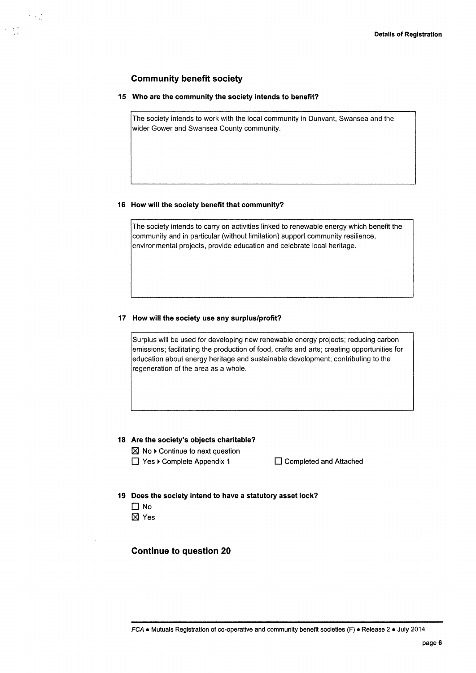# $\gamma \sim \frac{1}{\sqrt{2}}$

# Community benefit society

#### 15 Who are the community the society intends to benefit?

The society intends to work with the local community in Dunvant, Swansea and the wider Gower and Swansea County community.

#### 16 How will the society benefit that community?

The society intends to carry on activities linked to renewable energy which benefit the community and in particular (without limitation) support community resilience, environmental projects, provide education and celebrate local heritage.

#### 17 How will the society use any surplus/profit?

Surplus will be used for developing new renewable energy projects; reducing carbon<br>emissions; facilitating the production of food, crafts and arts; creating opportunities for emissions; racilitating the production or rood, crafts and arts; creating oppori<br>education about energy heritage and sustainable development; contributing regeneration of the area as a whole.

#### 18 Are the society's objects charitable?

~ No ►Continue to next question

❑ Yes ►Complete Appendix 1 ❑Completed and Attached

- 19 Does the society intend to have a statutory asset lock?
	- ❑ No
	- ⊠ Yes

#### Continue to question 20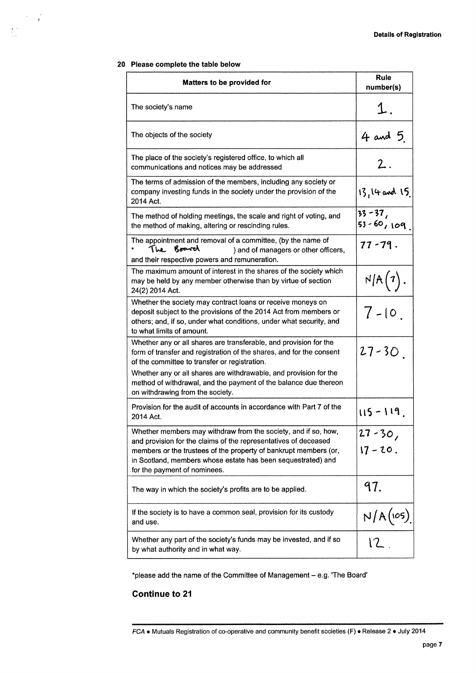#### 20 Please complete the table below

 $\label{eq:2} \begin{array}{c} \mathcal{L}_{\mathcal{M}}(\mathcal{A})=\mathcal{L}_{\mathcal{M}}(\mathcal{A})\\ \mathcal{L}_{\mathcal{M}}(\mathcal{A})=\mathcal{L}_{\mathcal{M}}(\mathcal{A}) \end{array}$ 

 $\begin{array}{l} \frac{1}{2} \left( \frac{1}{2} \right) \left( \frac{1}{2} \right) \\ \frac{1}{2} \left( \frac{1}{2} \right) \left( \frac{1}{2} \right) \left( \frac{1}{2} \right) \end{array}$ 

| Matters to be provided for                                                                                                                                                                                                                                                                            | <b>Rule</b><br>number(s)     |
|-------------------------------------------------------------------------------------------------------------------------------------------------------------------------------------------------------------------------------------------------------------------------------------------------------|------------------------------|
| The society's name                                                                                                                                                                                                                                                                                    | 1.                           |
| The objects of the society                                                                                                                                                                                                                                                                            | $4$ and 5.                   |
| The place of the society's registered office, to which all<br>communications and notices may be addressed                                                                                                                                                                                             | $\overline{2}$ .             |
| The terms of admission of the members, including any society or<br>company investing funds in the society under the provision of the<br>2014 Act.                                                                                                                                                     | $13,14$ and $15$             |
| The method of holding meetings, the scale and right of voting, and<br>the method of making, altering or rescinding rules.                                                                                                                                                                             | $33 - 37,$<br>$53 - 60,109$  |
| The appointment and removal of a committee, (by the name of<br>The Board<br>) and of managers or other officers,<br>and their respective powers and remuneration.                                                                                                                                     | $77 - 79.$                   |
| The maximum amount of interest in the shares of the society which<br>may be held by any member otherwise than by virtue of section<br>24(2) 2014 Act.                                                                                                                                                 | N/A(7)                       |
| Whether the society may contract loans or receive moneys on<br>deposit subject to the provisions of the 2014 Act from members or<br>others; and, if so, under what conditions, under what security, and<br>to what limits of amount.                                                                  | $7 - 10$ .                   |
| Whether any or all shares are transferable, and provision for the<br>form of transfer and registration of the shares, and for the consent<br>of the committee to transfer or registration.                                                                                                            | $27 - 30$                    |
| Whether any or all shares are withdrawable, and provision for the<br>method of withdrawal, and the payment of the balance due thereon<br>on withdrawing from the society.                                                                                                                             |                              |
| Provision for the audit of accounts in accordance with Part 7 of the<br>2014 Act.                                                                                                                                                                                                                     | $115 - 119$                  |
| Whether members may withdraw from the society, and if so, how,<br>and provision for the claims of the representatives of deceased<br>members or the trustees of the property of bankrupt members (or,<br>in Scotland, members whose estate has been sequestrated) and<br>for the payment of nominees. | $27 - 30,$<br>$17 - 20$ .    |
| The way in which the society's profits are to be applied.                                                                                                                                                                                                                                             | 97.                          |
| If the society is to have a common seal, provision for its custody<br>and use.                                                                                                                                                                                                                        | $\frac{N/A(\text{cos})}{12}$ |
| Whether any part of the society's funds may be invested, and if so<br>by what authority and in what way.                                                                                                                                                                                              |                              |

\*please add the name of the Committee of Management - e.g. 'The Board'

# Continue to 21

FCA • Mutuals Registration of co-operative and community benefit societies (F) • Release 2 • July 2014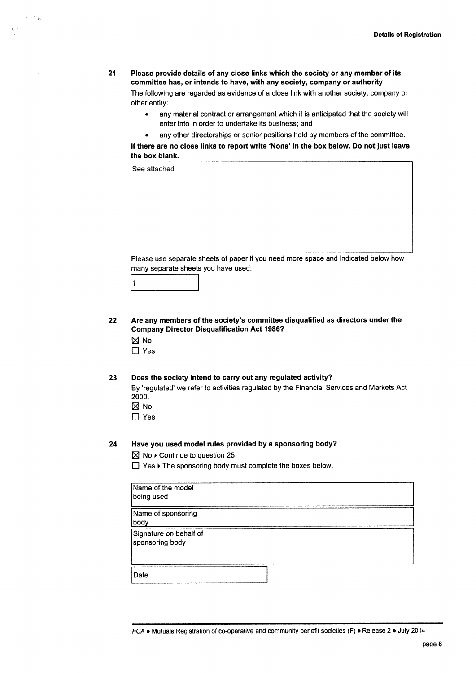#### 21 Please provide details of any close links which the society or any member of its committee has, ar intends to have, with any society, company or authority The fallowing are regarded as evidence of a close link with another society, company or other entity:

- any material contract or arrangement which it is anticipated that the society will enter into in order to undertake its business; and
- any other directorships or senior positions held by members of the committee.

If there are no close links to report write `None' in the box below. Da not just leave the box blank.

| See attached                                                                       |
|------------------------------------------------------------------------------------|
|                                                                                    |
|                                                                                    |
|                                                                                    |
|                                                                                    |
|                                                                                    |
|                                                                                    |
| Please use separate sheets of paper if you need more space and indicated below how |
| many separate sheets you have used:                                                |
|                                                                                    |

22 Are any members of the society's committee disqualified as directors under the Company Director Disqualification Act 1986?

 $\boxtimes$  No

~ .

 $\lambda$ ,  $\lambda$ 

❑ Yes

#### 23 Does the society intend to carry out any regulated activity?

By 'regulated' we refer to activities regulated by the Financial Services and Markets Act 2000.

- $\boxtimes$  No
- ❑ Yes

#### 24 Have you used model rules provided by a sponsoring body?

 $\boxtimes$  No  $\blacktriangleright$  Continue to question 25

❑ Yes ►The sponsoring body must complete the boxes below.

| Name of the model<br>being used           |  |
|-------------------------------------------|--|
| Name of sponsoring<br>body                |  |
| Signature on behalf of<br>sponsoring body |  |
| Date                                      |  |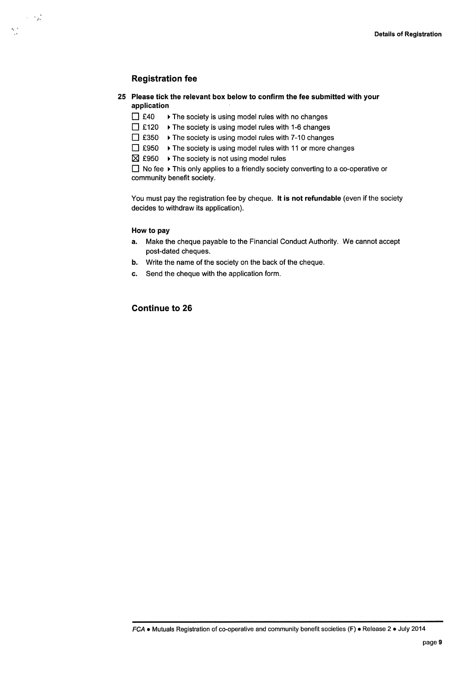### Registration fee

 $\frac{d_0-2}{d_0}$  .

 $\sim$   $\sim$ 

- 25 Please tick the relevant box below to confirm the fee submitted with your application
	- ❑ £40 ►The society is using model rules with no changes
	- ❑ £720 ►The society is using model rules with 1-6 changes
	- ❑ £350 ►The society is using model rules with 7-10 changes
	- $\Box$  £950  $\rightarrow$  The society is using model rules with 11 or more changes
	- $✓ £950 → The society is not using model rules$

❑ No fee ►This only applies to a friendly society converting to a co-operative or community benefit society.

You must pay the registration fee by cheque. It is not refundable (even if the society decides to withdraw its application).

#### How to pay

- a. Make the cheque payable to the Financial Conduct Authority. We cannot accept post-dated cheques.
- b. Write the name of the society on the back of the cheque.
- c. Send the cheque with the application form.

#### Continue to 26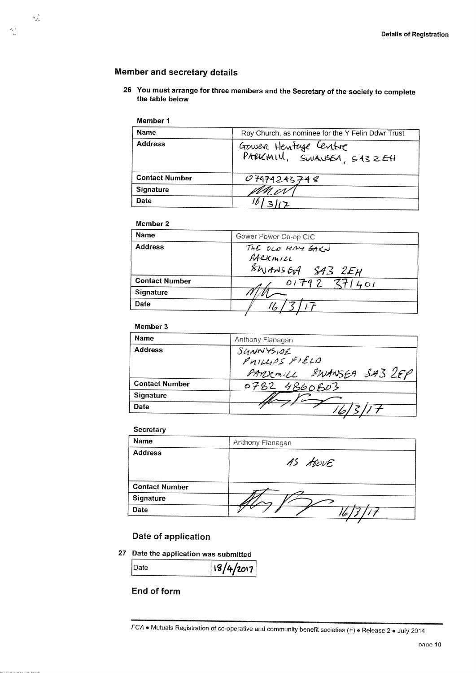#### UCI AIIU SCUICIAIV U

<sup>2</sup>6 You must arrange for three members and the Secretary of the society to complete the table below

#### Member 1

 $\gamma_{\rm ph}^{~\alpha}$ 

 $\frac{d_1(t)}{dt}$ 

| <b>Name</b>           | Roy Church, as nominee for the Y Felin Ddwr Trust |  |
|-----------------------|---------------------------------------------------|--|
| <b>Address</b>        | Gower Hentage Centre<br>PARKMIV, SWANSSA, SA3ZEH  |  |
| <b>Contact Number</b> | 07974243748                                       |  |
| <b>Signature</b>      |                                                   |  |
| <b>Date</b>           |                                                   |  |

### Member 2

| Name                  | Gower Power Co-op CIC                                   |
|-----------------------|---------------------------------------------------------|
| <b>Address</b>        | THE OLO HAY GARN<br>RACKMILL<br>$$W$ ANSEA $$43$ $2E$ H |
| <b>Contact Number</b> | $01792$ $771401$                                        |
| <b>Signature</b>      |                                                         |
| Date                  | lo                                                      |

#### Member 3

| <b>Name</b>           | Anthony Flanagan                                       |
|-----------------------|--------------------------------------------------------|
| <b>Address</b>        | SUNNYSIDE<br>PHILLAS FIELD<br>PARKMILL SWANSEA SA3 2FP |
| <b>Contact Number</b> | 0782 4860803                                           |
| <b>Signature</b>      |                                                        |
| Date                  |                                                        |

#### **Secretary**

| <b>Name</b>           | Anthony Flanagan |
|-----------------------|------------------|
| <b>Address</b>        | AS Above         |
| <b>Contact Number</b> |                  |
| Signature             |                  |
| Date                  | $\iota$ to       |

#### Date of applicatio

27 Date the application was submitted

 $\frac{18}{4}$ 2017

# End of form

FCA • Mutuals Registration of co-operative and community benefit societies (F) • Release 2 • July 2014